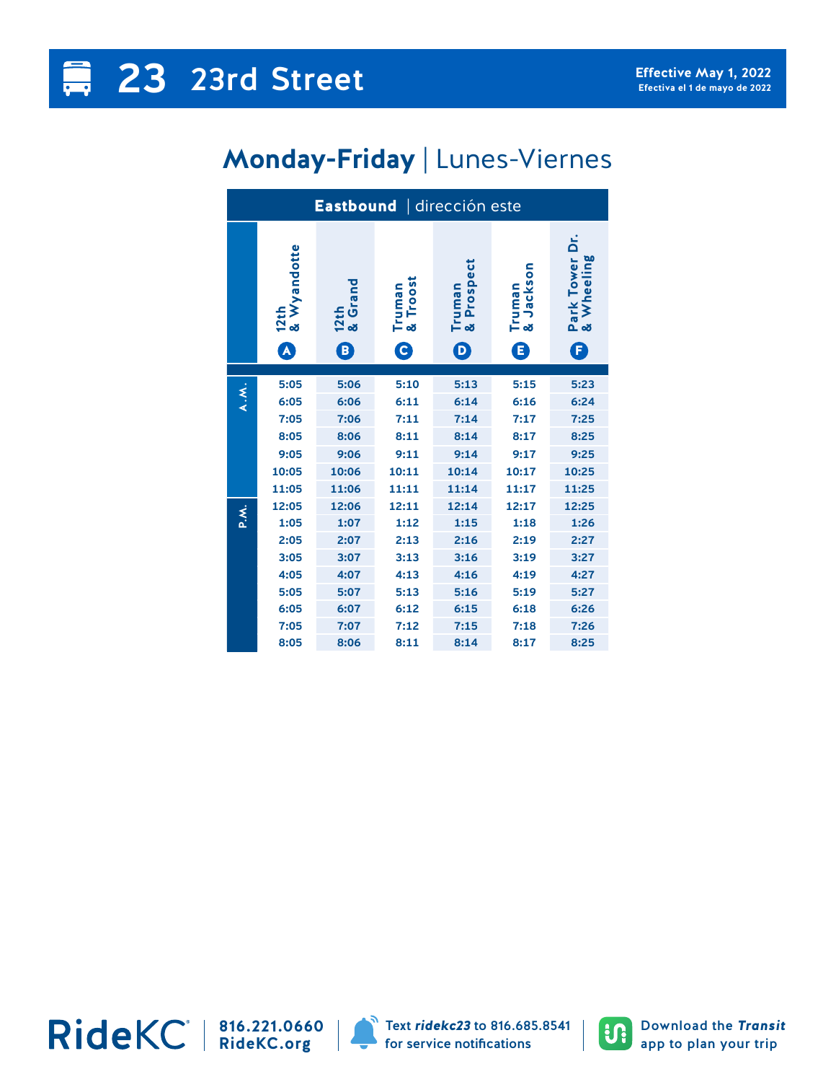## **Monday-Friday** | Lunes-Viernes

| Eastbound   dirección este |                     |                 |                       |                      |                              |                                       |  |  |  |
|----------------------------|---------------------|-----------------|-----------------------|----------------------|------------------------------|---------------------------------------|--|--|--|
|                            | 12th<br>& Wyandotte | 12th<br>& Grand | Truman<br>& Troost    | Truman<br>& Prospect | Jackson<br>Truman<br>& Jacks | Tower Dr.<br>Wheeling<br>Park<br>& Wh |  |  |  |
|                            | A                   | B)              | $\boldsymbol{\Theta}$ | $\bm{\mathsf{D}}$    | 8                            | Œ                                     |  |  |  |
| A.M.                       | 5:05                | 5:06            | 5:10                  | 5:13                 | 5:15                         | 5:23                                  |  |  |  |
|                            | 6:05                | 6:06            | 6:11                  | 6:14                 | 6:16                         | 6:24                                  |  |  |  |
|                            | 7:05                | 7:06            | 7:11                  | 7:14                 | 7:17                         | 7:25                                  |  |  |  |
|                            | 8:05                | 8:06            | 8:11                  | 8:14                 | 8:17                         | 8:25                                  |  |  |  |
|                            | 9:05                | 9:06            | 9:11                  | 9:14                 | 9:17                         | 9:25                                  |  |  |  |
|                            | 10:05               | 10:06           | 10:11                 | 10:14                | 10:17                        | 10:25                                 |  |  |  |
|                            | 11:05               | 11:06           | 11:11                 | 11:14                | 11:17                        | 11:25                                 |  |  |  |
|                            | 12:05               | 12:06           | 12:11                 | 12:14                | 12:17                        | 12:25                                 |  |  |  |
| P.X.                       | 1:05                | 1:07            | 1:12                  | 1:15                 | 1:18                         | 1:26                                  |  |  |  |
|                            | 2:05                | 2:07            | 2:13                  | 2:16                 | 2:19                         | 2:27                                  |  |  |  |
|                            | 3:05                | 3:07            | 3:13                  | 3:16                 | 3:19                         | 3:27                                  |  |  |  |
|                            | 4:05                | 4:07            | 4:13                  | 4:16                 | 4:19                         | 4:27                                  |  |  |  |
|                            | 5:05                | 5:07            | 5:13                  | 5:16                 | 5:19                         | 5:27                                  |  |  |  |
|                            | 6:05                | 6:07            | 6:12                  | 6:15                 | 6:18                         | 6:26                                  |  |  |  |
|                            | 7:05                | 7:07            | 7:12                  | 7:15                 | 7:18                         | 7:26                                  |  |  |  |
|                            | 8:05                | 8:06            | 8:11                  | 8:14                 | 8:17                         | 8:25                                  |  |  |  |

**816.221.0660 RideKC.org**



Text *ridekc23* to 816.685.8541 for service notifications